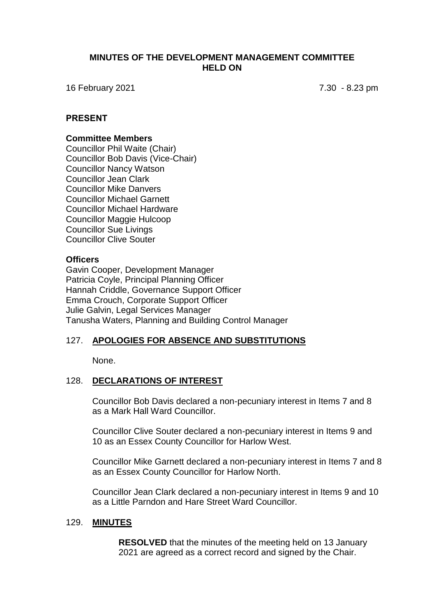### **MINUTES OF THE DEVELOPMENT MANAGEMENT COMMITTEE HELD ON**

16 February 2021 7.30 - 8.23 pm

### **PRESENT**

#### **Committee Members**

Councillor Phil Waite (Chair) Councillor Bob Davis (Vice-Chair) Councillor Nancy Watson Councillor Jean Clark Councillor Mike Danvers Councillor Michael Garnett Councillor Michael Hardware Councillor Maggie Hulcoop Councillor Sue Livings Councillor Clive Souter

#### **Officers**

Gavin Cooper, Development Manager Patricia Coyle, Principal Planning Officer Hannah Criddle, Governance Support Officer Emma Crouch, Corporate Support Officer Julie Galvin, Legal Services Manager Tanusha Waters, Planning and Building Control Manager

# 127. **APOLOGIES FOR ABSENCE AND SUBSTITUTIONS**

None.

### 128. **DECLARATIONS OF INTEREST**

Councillor Bob Davis declared a non-pecuniary interest in Items 7 and 8 as a Mark Hall Ward Councillor.

Councillor Clive Souter declared a non-pecuniary interest in Items 9 and 10 as an Essex County Councillor for Harlow West.

Councillor Mike Garnett declared a non-pecuniary interest in Items 7 and 8 as an Essex County Councillor for Harlow North.

Councillor Jean Clark declared a non-pecuniary interest in Items 9 and 10 as a Little Parndon and Hare Street Ward Councillor.

#### 129. **MINUTES**

**RESOLVED** that the minutes of the meeting held on 13 January 2021 are agreed as a correct record and signed by the Chair.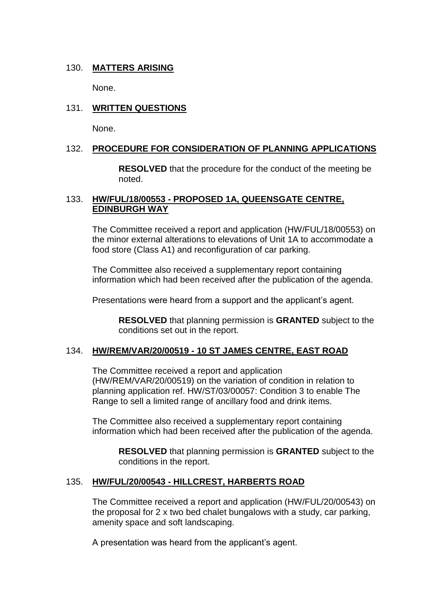# 130. **MATTERS ARISING**

None.

# 131. **WRITTEN QUESTIONS**

None.

# 132. **PROCEDURE FOR CONSIDERATION OF PLANNING APPLICATIONS**

**RESOLVED** that the procedure for the conduct of the meeting be noted.

## 133. **HW/FUL/18/00553 - PROPOSED 1A, QUEENSGATE CENTRE, EDINBURGH WAY**

The Committee received a report and application (HW/FUL/18/00553) on the minor external alterations to elevations of Unit 1A to accommodate a food store (Class A1) and reconfiguration of car parking.

The Committee also received a supplementary report containing information which had been received after the publication of the agenda.

Presentations were heard from a support and the applicant's agent.

**RESOLVED** that planning permission is **GRANTED** subject to the conditions set out in the report.

# 134. **HW/REM/VAR/20/00519 - 10 ST JAMES CENTRE, EAST ROAD**

The Committee received a report and application (HW/REM/VAR/20/00519) on the variation of condition in relation to planning application ref. HW/ST/03/00057: Condition 3 to enable The Range to sell a limited range of ancillary food and drink items.

The Committee also received a supplementary report containing information which had been received after the publication of the agenda.

**RESOLVED** that planning permission is **GRANTED** subject to the conditions in the report.

# 135. **HW/FUL/20/00543 - HILLCREST, HARBERTS ROAD**

The Committee received a report and application (HW/FUL/20/00543) on the proposal for 2 x two bed chalet bungalows with a study, car parking, amenity space and soft landscaping.

A presentation was heard from the applicant's agent.